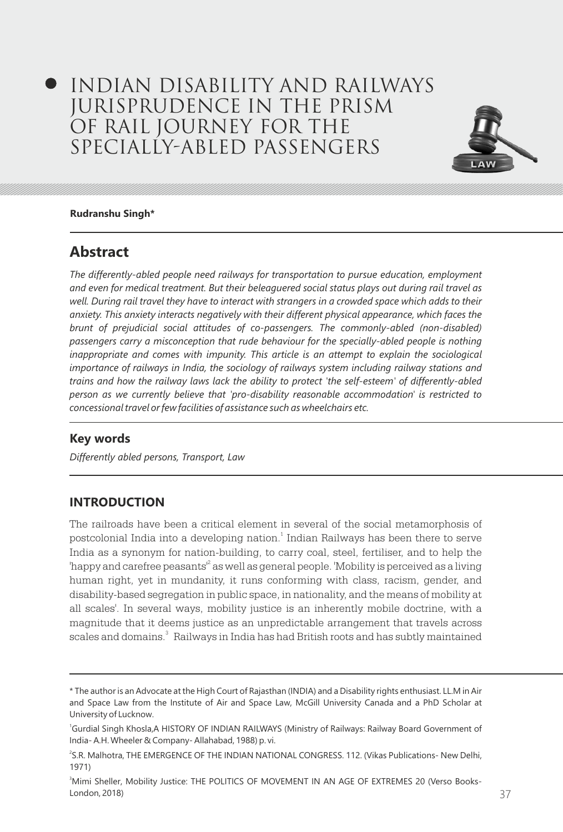# Indian Disability and Railways Jurisprudence in the Prism of Rail Journey for the Specially-Abled Passengers



#### **Rudranshu Singh\***

## **Abstract**

*The differently-abled people need railways for transportation to pursue education, employment and even for medical treatment. But their beleaguered social status plays out during rail travel as*  well. During rail travel they have to interact with strangers in a crowded space which adds to their *anxiety. This anxiety interacts negatively with their different physical appearance, which faces the brunt of prejudicial social attitudes of co-passengers. The commonly-abled (non-disabled)*  passengers carry a misconception that rude behaviour for the specially-abled people is nothing *inappropriate and comes with impunity. This article is an attempt to explain the sociological* importance of railways in India, the sociology of railways system including railway stations and *trains and how the railway laws lack the ability to protect 'the self-esteem' of differently-abled person as we currently believe that 'pro-disability reasonable accommodation' is restricted to concessional travel or few facilities of assistance such as wheelchairs etc.*

## **Key words**

*Differently abled persons, Transport, Law*

## **INTRODUCTION**

The railroads have been a critical element in several of the social metamorphosis of postcolonial India into a developing nation. $^{\rm 1}$  Indian Railways has been there to serve India as a synonym for nation-building, to carry coal, steel, fertiliser, and to help the 'happy and carefree peasants'<sup>2</sup> as well as general people. 'Mobility is perceived as a living human right, yet in mundanity, it runs conforming with class, racism, gender, and disability-based segregation in public space, in nationality, and the means of mobility at all scales'. In several ways, mobility justice is an inherently mobile doctrine, with a magnitude that it deems justice as an unpredictable arrangement that travels across scales and domains.<sup>3</sup> Railways in India has had British roots and has subtly maintained

<sup>\*</sup> The author is an Advocate at the High Court of Rajasthan (INDIA) and a Disability rights enthusiast. LL.M in Air and Space Law from the Institute of Air and Space Law, McGill University Canada and a PhD Scholar at University of Lucknow.

<sup>&</sup>lt;sup>1</sup>Gurdial Singh Khosla,A HISTORY OF INDIAN RAILWAYS (Ministry of Railways: Railway Board Government of India- A.H. Wheeler & Company- Allahabad, 1988) p. vi.

<sup>2</sup> S.R. Malhotra, THE EMERGENCE OF THE INDIAN NATIONAL CONGRESS. 112. (Vikas Publications- New Delhi, 1971)

<sup>&</sup>lt;sup>3</sup>Mimi Sheller, Mobility Justice: THE POLITICS OF MOVEMENT IN AN AGE OF EXTREMES 20 (Verso Books-London, 2018)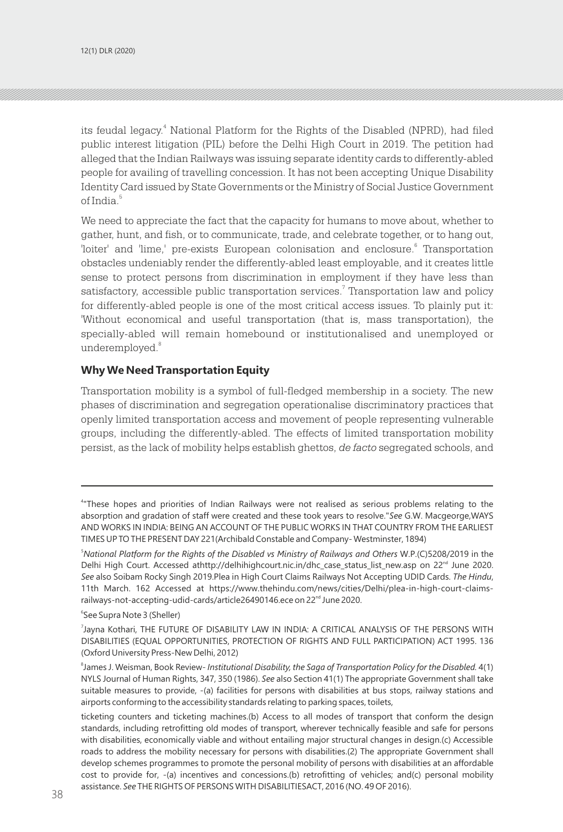its feudal legacy.<sup>4</sup> National Platform for the Rights of the Disabled (NPRD), had filed public interest litigation (PIL) before the Delhi High Court in 2019. The petition had alleged that the Indian Railways was issuing separate identity cards to differently-abled people for availing of travelling concession. It has not been accepting Unique Disability Identity Card issued by State Governments or the Ministry of Social Justice Government of India<sup>5</sup>

We need to appreciate the fact that the capacity for humans to move about, whether to gather, hunt, and fish, or to communicate, trade, and celebrate together, or to hang out, 'loiter' and 'lime,' pre-exists European colonisation and enclosure. Transportation obstacles undeniably render the differently-abled least employable, and it creates little sense to protect persons from discrimination in employment if they have less than satisfactory, accessible public transportation services.<sup>7</sup> Transportation law and policy for differently-abled people is one of the most critical access issues. To plainly put it: 'Without economical and useful transportation (that is, mass transportation), the specially-abled will remain homebound or institutionalised and unemployed or underemployed.<sup>8</sup>

#### **Why We Need Transportation Equity**

Transportation mobility is a symbol of full-fledged membership in a society. The new phases of discrimination and segregation operationalise discriminatory practices that openly limited transportation access and movement of people representing vulnerable groups, including the differently-abled. The effects of limited transportation mobility persist, as the lack of mobility helps establish ghettos, *de facto* segregated schools, and

6 See Supra Note 3 (Sheller)

<sup>4</sup> "These hopes and priorities of Indian Railways were not realised as serious problems relating to the absorption and gradation of staff were created and these took years to resolve."*See* G.W. Macgeorge,WAYS AND WORKS IN INDIA: BEING AN ACCOUNT OF THE PUBLIC WORKS IN THAT COUNTRY FROM THE EARLIEST TIMES UP TO THE PRESENT DAY 221(Archibald Constable and Company- Westminster, 1894)

<sup>5</sup>*National Platform for the Rights of the Disabled vs Ministry of Railways and Others* W.P.(C)5208/2019 in the Delhi High Court. Accessed athttp://delhihighcourt.nic.in/dhc\_case\_status\_list\_new.asp on 22<sup>nd</sup> June 2020. *See* also Soibam Rocky Singh 2019.Plea in High Court Claims Railways Not Accepting UDID Cards. *The Hindu*, 11th March. 162 Accessed at https://www.thehindu.com/news/cities/Delhi/plea-in-high-court-claimsrailways-not-accepting-udid-cards/article26490146.ece on 22<sup>nd</sup> June 2020.

<sup>7</sup> Jayna Kothari, THE FUTURE OF DISABILITY LAW IN INDIA: A CRITICAL ANALYSIS OF THE PERSONS WITH DISABILITIES (EQUAL OPPORTUNITIES, PROTECTION OF RIGHTS AND FULL PARTICIPATION) ACT 1995. 136 (Oxford University Press-New Delhi, 2012)

<sup>8</sup> James J. Weisman, Book Review- *Institutional Disability, the Saga of Transportation Policy for the Disabled.* 4(1) NYLS Journal of Human Rights, 347, 350 (1986). *See* also Section 41(1) The appropriate Government shall take suitable measures to provide, -(a) facilities for persons with disabilities at bus stops, railway stations and airports conforming to the accessibility standards relating to parking spaces, toilets,

 $38$  38  $\overline{3}$ ticketing counters and ticketing machines.(b) Access to all modes of transport that conform the design standards, including retrofitting old modes of transport, wherever technically feasible and safe for persons with disabilities, economically viable and without entailing major structural changes in design.(c) Accessible roads to address the mobility necessary for persons with disabilities.(2) The appropriate Government shall develop schemes programmes to promote the personal mobility of persons with disabilities at an affordable cost to provide for, -(a) incentives and concessions.(b) retrofitting of vehicles; and(c) personal mobility assistance. *See* THE RIGHTS OF PERSONS WITH DISABILITIESACT, 2016 (NO. 49 OF 2016).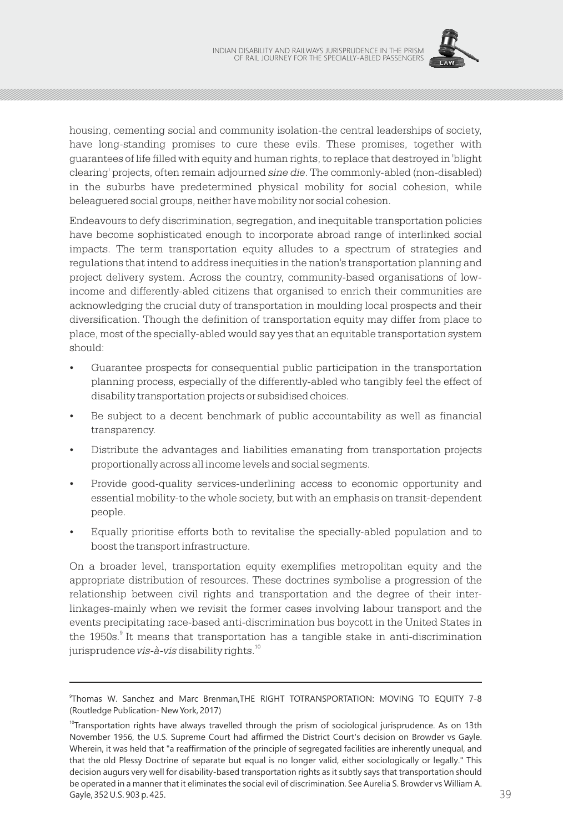

housing, cementing social and community isolation-the central leaderships of society, have long-standing promises to cure these evils. These promises, together with guarantees of life filled with equity and human rights, to replace that destroyed in 'blight clearing' projects, often remain adjourned *sine die*. The commonly-abled (non-disabled) in the suburbs have predetermined physical mobility for social cohesion, while beleaguered social groups, neither have mobility nor social cohesion.

Endeavours to defy discrimination, segregation, and inequitable transportation policies have become sophisticated enough to incorporate abroad range of interlinked social impacts. The term transportation equity alludes to a spectrum of strategies and regulations that intend to address inequities in the nation's transportation planning and project delivery system. Across the country, community-based organisations of lowincome and differently-abled citizens that organised to enrich their communities are acknowledging the crucial duty of transportation in moulding local prospects and their diversification. Though the definition of transportation equity may differ from place to place, most of the specially-abled would say yes that an equitable transportation system should:

- Guarantee prospects for consequential public participation in the transportation planning process, especially of the differently-abled who tangibly feel the effect of disability transportation projects or subsidised choices.
- Be subject to a decent benchmark of public accountability as well as financial transparency.
- Distribute the advantages and liabilities emanating from transportation projects proportionally across all income levels and social segments.
- Provide good-quality services-underlining access to economic opportunity and essential mobility-to the whole society, but with an emphasis on transit-dependent people.
- Equally prioritise efforts both to revitalise the specially-abled population and to boost the transport infrastructure.

On a broader level, transportation equity exemplifies metropolitan equity and the appropriate distribution of resources. These doctrines symbolise a progression of the relationship between civil rights and transportation and the degree of their interlinkages-mainly when we revisit the former cases involving labour transport and the events precipitating race-based anti-discrimination bus boycott in the United States in the 1950s.<sup>9</sup> It means that transportation has a tangible stake in anti-discrimination jurisprudence *vis-à-vis* disability rights.<sup>10</sup>

<sup>9</sup> Thomas W. Sanchez and Marc Brenman,THE RIGHT TOTRANSPORTATION: MOVING TO EQUITY 7-8 (Routledge Publication- New York, 2017)

Gayle, 352 U.S. 903 p. 425. 2003 12:30 p. 2010 12:30 p. 2010 12:30 p. 2010 12:30 p. 2010 12:30 p. 2010 12:30 p.  $10$ Transportation rights have always travelled through the prism of sociological jurisprudence. As on 13th November 1956, the U.S. Supreme Court had affirmed the District Court's decision on Browder vs Gayle. Wherein, it was held that "a reaffirmation of the principle of segregated facilities are inherently unequal, and that the old Plessy Doctrine of separate but equal is no longer valid, either sociologically or legally." This decision augurs very well for disability-based transportation rights as it subtly says that transportation should be operated in a manner that it eliminates the social evil of discrimination. See Aurelia S. Browder vs William A. Gayle, 352 U.S. 903 p. 425.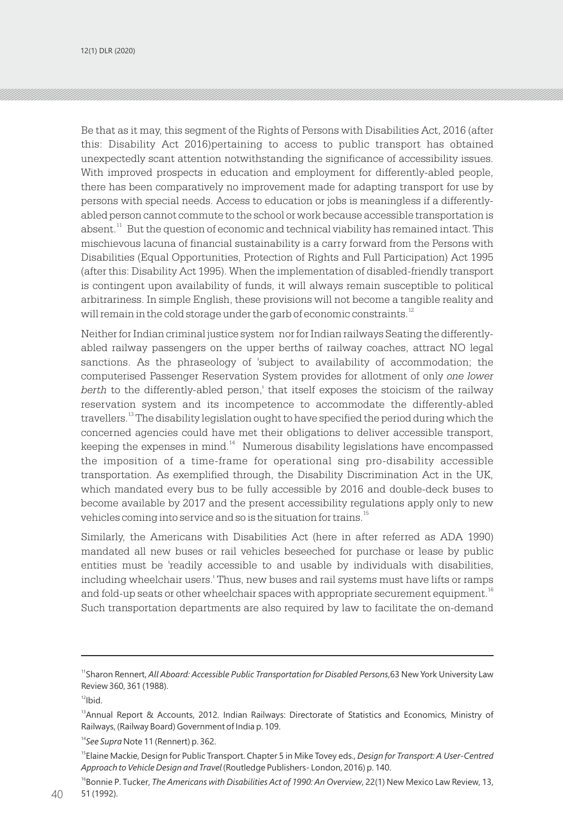Be that as it may, this segment of the Rights of Persons with Disabilities Act, 2016 (after this: Disability Act 2016)pertaining to access to public transport has obtained unexpectedly scant attention notwithstanding the significance of accessibility issues. With improved prospects in education and employment for differently-abled people, there has been comparatively no improvement made for adapting transport for use by persons with special needs. Access to education or jobs is meaningless if a differentlyabled person cannot commute to the school or work because accessible transportation is absent. $^{\text{11}}$  But the question of economic and technical viability has remained intact. This mischievous lacuna of financial sustainability is a carry forward from the Persons with Disabilities (Equal Opportunities, Protection of Rights and Full Participation) Act 1995 (after this: Disability Act 1995). When the implementation of disabled-friendly transport is contingent upon availability of funds, it will always remain susceptible to political arbitrariness. In simple English, these provisions will not become a tangible reality and will remain in the cold storage under the garb of economic constraints.<sup>12</sup>

Neither for Indian criminal justice system nor for Indian railways Seating the differentlyabled railway passengers on the upper berths of railway coaches, attract NO legal sanctions. As the phraseology of 'subject to availability of accommodation; the computerised Passenger Reservation System provides for allotment of only *one lower berth* to the differently-abled person,' that itself exposes the stoicism of the railway reservation system and its incompetence to accommodate the differently-abled travellers.<sup>13</sup> The disability legislation ought to have specified the period during which the concerned agencies could have met their obligations to deliver accessible transport, keeping the expenses in mind. $<sup>14</sup>$  Numerous disability legislations have encompassed</sup> the imposition of a time-frame for operational sing pro-disability accessible transportation. As exemplified through, the Disability Discrimination Act in the UK, which mandated every bus to be fully accessible by 2016 and double-deck buses to become available by 2017 and the present accessibility regulations apply only to new vehicles coming into service and so is the situation for trains.<sup>15</sup>

Similarly, the Americans with Disabilities Act (here in after referred as ADA 1990) mandated all new buses or rail vehicles beseeched for purchase or lease by public entities must be 'readily accessible to and usable by individuals with disabilities, including wheelchair users.' Thus, new buses and rail systems must have lifts or ramps and fold-up seats or other wheelchair spaces with appropriate securement equipment.  $^{\scriptscriptstyle 16}$ Such transportation departments are also required by law to facilitate the on-demand

<sup>11</sup>Sharon Rennert, *All Aboard: Accessible Public Transportation for Disabled Persons*,63 New York University Law Review 360, 361 (1988).

 $12$ Ibid.

<sup>&</sup>lt;sup>13</sup> Annual Report & Accounts, 2012. Indian Railways: Directorate of Statistics and Economics, Ministry of Railways, (Railway Board) Government of India p. 109.

<sup>14</sup>*See Supra* Note 11 (Rennert) p. 362.

<sup>15</sup>Elaine Mackie, Design for Public Transport. Chapter 5 in Mike Tovey eds., *Design for Transport: A User-Centred Approach to Vehicle Design and Travel* (Routledge Publishers- London, 2016) p. 140.

 $40$   $51(1992)$ . <sup>16</sup>Bonnie P. Tucker, *The Americans with Disabilities Act of 1990: An Overview*, 22(1) New Mexico Law Review, 13, 51 (1992).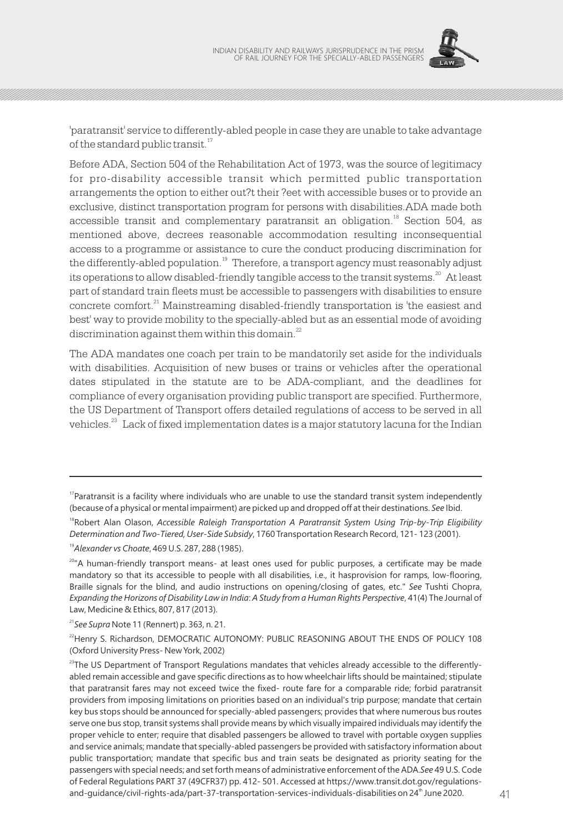

'paratransit' service to differently-abled people in case they are unable to take advantage of the standard public transit.<sup>17</sup>

Before ADA, Section 504 of the Rehabilitation Act of 1973, was the source of legitimacy for pro-disability accessible transit which permitted public transportation arrangements the option to either out?t their ?eet with accessible buses or to provide an exclusive, distinct transportation program for persons with disabilities.ADA made both accessible transit and complementary paratransit an obligation.<sup>18</sup> Section 504, as mentioned above, decrees reasonable accommodation resulting inconsequential access to a programme or assistance to cure the conduct producing discrimination for the differently-abled population.<sup>19</sup> Therefore, a transport agency must reasonably adjust its operations to allow disabled-friendly tangible access to the transit systems. $^{20}$  At least part of standard train fleets must be accessible to passengers with disabilities to ensure concrete comfort.<sup>21</sup> Mainstreaming disabled-friendly transportation is 'the easiest and best' way to provide mobility to the specially-abled but as an essential mode of avoiding discrimination against them within this domain.<sup>22</sup>

The ADA mandates one coach per train to be mandatorily set aside for the individuals with disabilities. Acquisition of new buses or trains or vehicles after the operational dates stipulated in the statute are to be ADA-compliant, and the deadlines for compliance of every organisation providing public transport are specified. Furthermore, the US Department of Transport offers detailed regulations of access to be served in all vehicles. $23$  Lack of fixed implementation dates is a major statutory lacuna for the Indian

<sup>19</sup>*Alexander vs Choate*, 469 U.S. 287, 288 (1985).

 $17$ Paratransit is a facility where individuals who are unable to use the standard transit system independently (because of a physical or mental impairment) are picked up and dropped off at their destinations. *See* Ibid.

<sup>&</sup>lt;sup>18</sup>Robert Alan Olason, *Accessible Raleigh Transportation A Paratransit System Using Trip-by-Trip Eligibility Determination and Two-Tiered, User-Side Subsidy*, 1760 Transportation Research Record, 121- 123 (2001).

<sup>&</sup>lt;sup>20</sup>"A human-friendly transport means- at least ones used for public purposes, a certificate may be made mandatory so that its accessible to people with all disabilities, i.e., it hasprovision for ramps, low-flooring, Braille signals for the blind, and audio instructions on opening/closing of gates, etc." *See* Tushti Chopra, *Expanding the Horizons of Disability Law in India*: *A Study from a Human Rights Perspective*, 41(4) The Journal of Law, Medicine & Ethics, 807, 817 (2013).

<sup>21</sup>*See Supra* Note 11 (Rennert) p. 363, n. 21.

<sup>&</sup>lt;sup>22</sup>Henry S. Richardson, DEMOCRATIC AUTONOMY: PUBLIC REASONING ABOUT THE ENDS OF POLICY 108 (Oxford University Press- New York, 2002)

<sup>40</sup> 41 th and-guidance/civil-rights-ada/part-37-transportation-services-individuals-disabilities on 24 June 2020.  $^{23}$ The US Department of Transport Regulations mandates that vehicles already accessible to the differentlyabled remain accessible and gave specific directions as to how wheelchair lifts should be maintained; stipulate that paratransit fares may not exceed twice the fixed- route fare for a comparable ride; forbid paratransit providers from imposing limitations on priorities based on an individual's trip purpose; mandate that certain key bus stops should be announced for specially-abled passengers; provides that where numerous bus routes serve one bus stop, transit systems shall provide means by which visually impaired individuals may identify the proper vehicle to enter; require that disabled passengers be allowed to travel with portable oxygen supplies and service animals; mandate that specially-abled passengers be provided with satisfactory information about public transportation; mandate that specific bus and train seats be designated as priority seating for the passengers with special needs; and set forth means of administrative enforcement of the ADA.*See* 49 U.S. Code of Federal Regulations PART 37 (49CFR37) pp. 412- 501. Accessed at https://www.transit.dot.gov/regulations-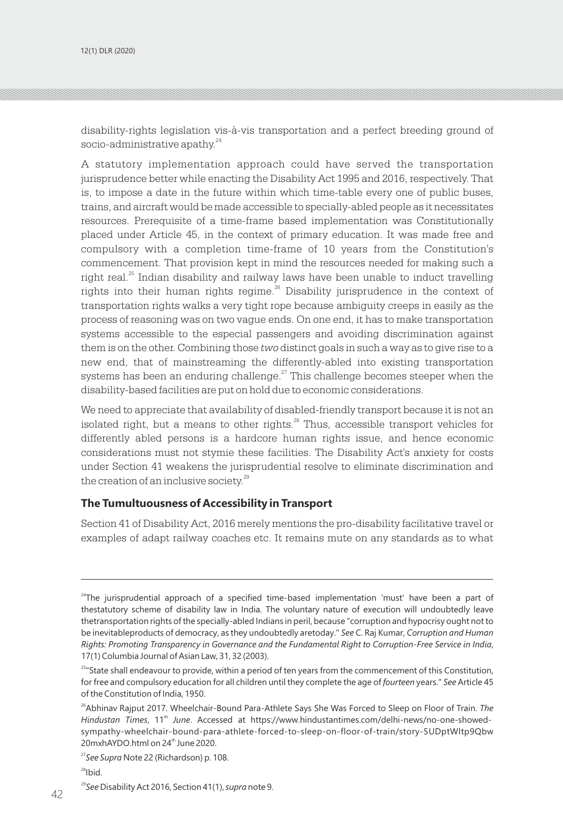disability-rights legislation vis-à-vis transportation and a perfect breeding ground of socio-administrative apathy.<sup>24</sup>

A statutory implementation approach could have served the transportation jurisprudence better while enacting the Disability Act 1995 and 2016, respectively. That is, to impose a date in the future within which time-table every one of public buses, trains, and aircraft would be made accessible to specially-abled people as it necessitates resources. Prerequisite of a time-frame based implementation was Constitutionally placed under Article 45, in the context of primary education. It was made free and compulsory with a completion time-frame of 10 years from the Constitution's commencement. That provision kept in mind the resources needed for making such a right real. $^{25}$  Indian disability and railway laws have been unable to induct travelling rights into their human rights regime.<sup>26</sup> Disability jurisprudence in the context of transportation rights walks a very tight rope because ambiguity creeps in easily as the process of reasoning was on two vague ends. On one end, it has to make transportation systems accessible to the especial passengers and avoiding discrimination against them is on the other. Combining those *two* distinct goals in such a way as to give rise to a new end, that of mainstreaming the differently-abled into existing transportation systems has been an enduring challenge. $27$  This challenge becomes steeper when the disability-based facilities are put on hold due to economic considerations.

We need to appreciate that availability of disabled-friendly transport because it is not an isolated right, but a means to other rights. $28$  Thus, accessible transport vehicles for differently abled persons is a hardcore human rights issue, and hence economic considerations must not stymie these facilities. The Disability Act's anxiety for costs under Section 41 weakens the jurisprudential resolve to eliminate discrimination and the creation of an inclusive society.<sup>29</sup>

#### **The Tumultuousness of Accessibility in Transport**

Section 41 of Disability Act, 2016 merely mentions the pro-disability facilitative travel or examples of adapt railway coaches etc. It remains mute on any standards as to what

<sup>28</sup>Ibid.

<sup>&</sup>lt;sup>24</sup>The jurisprudential approach of a specified time-based implementation 'must' have been a part of thestatutory scheme of disability law in India. The voluntary nature of execution will undoubtedly leave thetransportation rights of the specially-abled Indians in peril, because "corruption and hypocrisy ought not to be inevitableproducts of democracy, as they undoubtedly aretoday." *See* C. Raj Kumar, *Corruption and Human Rights: Promoting Transparency in Governance and the Fundamental Right to Corruption-Free Service in India*, 17(1) Columbia Journal of Asian Law, 31, 32 (2003).

<sup>&</sup>lt;sup>25</sup>"State shall endeavour to provide, within a period of ten years from the commencement of this Constitution, for free and compulsory education for all children until they complete the age of *fourteen* years." *See* Article 45 of the Constitution of India, 1950.

<sup>&</sup>lt;sup>26</sup>Abhinav Rajput 2017. Wheelchair-Bound Para-Athlete Says She Was Forced to Sleep on Floor of Train. The Hindustan Times, 11<sup>th</sup> June. Accessed at https://www.hindustantimes.com/delhi-news/no-one-showedsympathy-wheelchair-bound-para-athlete-forced-to-sleep-on-floor-of-train/story-5UDptWltp9Qbw 20mxhAYDO.html on 24<sup>th</sup> June 2020.

<sup>27</sup>*See Supra* Note 22 (Richardson) p. 108.

 $42$   $\cdots$   $\cdots$   $\cdots$   $\cdots$   $\cdots$   $\cdots$   $\cdots$   $\cdots$   $\cdots$   $\cdots$   $\cdots$   $\cdots$   $\cdots$   $\cdots$   $\cdots$   $\cdots$   $\cdots$   $\cdots$   $\cdots$   $\cdots$   $\cdots$   $\cdots$   $\cdots$   $\cdots$   $\cdots$   $\cdots$   $\cdots$   $\cdots$   $\cdots$   $\cdots$   $\cdots$   $\cdots$   $\cdots$   $\cdots$   $\cdots$   $\cdots$  <sup>29</sup>*See* Disability Act 2016, Section 41(1), *supra* note 9.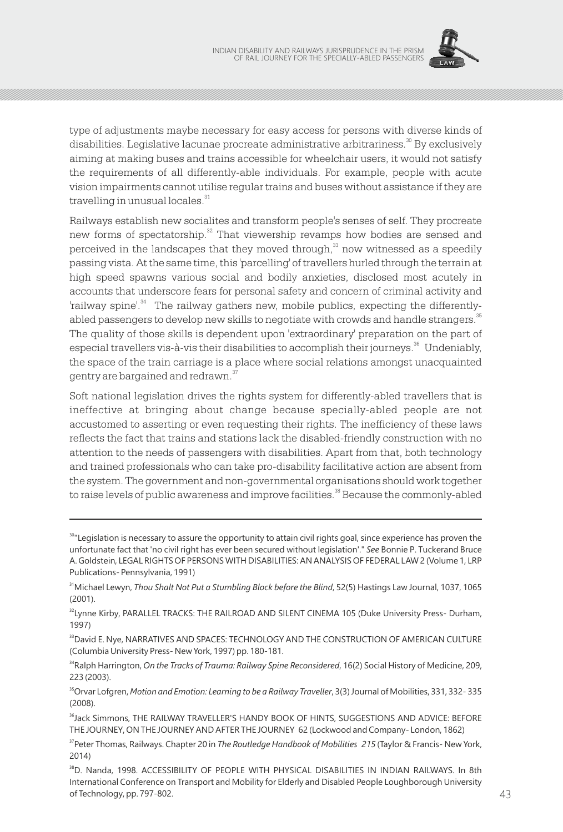

type of adjustments maybe necessary for easy access for persons with diverse kinds of disabilities. Legislative lacunae procreate administrative arbitrariness.<sup>30</sup> By exclusively aiming at making buses and trains accessible for wheelchair users, it would not satisfy the requirements of all differently-able individuals. For example, people with acute vision impairments cannot utilise regular trains and buses without assistance if they are travelling in unusual locales.<sup>31</sup>

Railways establish new socialites and transform people's senses of self. They procreate new forms of spectatorship. $32$  That viewership revamps how bodies are sensed and perceived in the landscapes that they moved through, $33$  now witnessed as a speedily passing vista. At the same time, this 'parcelling' of travellers hurled through the terrain at high speed spawns various social and bodily anxieties, disclosed most acutely in accounts that underscore fears for personal safety and concern of criminal activity and 'railway spine'.<sup>34</sup> The railway gathers new, mobile publics, expecting the differentlyabled passengers to develop new skills to negotiate with crowds and handle strangers. $^{\textrm{\tiny{35}}}$ The quality of those skills is dependent upon 'extraordinary' preparation on the part of especial travellers vis-à-vis their disabilities to accomplish their journeys.<sup>36</sup> Undeniably, the space of the train carriage is a place where social relations amongst unacquainted gentry are bargained and redrawn.<sup>37</sup>

Soft national legislation drives the rights system for differently-abled travellers that is ineffective at bringing about change because specially-abled people are not accustomed to asserting or even requesting their rights. The inefficiency of these laws reflects the fact that trains and stations lack the disabled-friendly construction with no attention to the needs of passengers with disabilities. Apart from that, both technology and trained professionals who can take pro-disability facilitative action are absent from the system. The government and non-governmental organisations should work together to raise levels of public awareness and improve facilities.<sup>38</sup> Because the commonly-abled

<sup>34</sup>Ralph Harrington, *On the Tracks of Trauma: Railway Spine Reconsidered*, 16(2) Social History of Medicine, 209, 223 (2003).

<sup>35</sup>Orvar Lofgren, *Motion and Emotion: Learning to be a Railway Traveller*, 3(3) Journal of Mobilities, 331, 332- 335 (2008).

<sup>&</sup>lt;sup>30</sup>"Legislation is necessary to assure the opportunity to attain civil rights goal, since experience has proven the unfortunate fact that 'no civil right has ever been secured without legislation'." *See* Bonnie P. Tuckerand Bruce A. Goldstein, LEGAL RIGHTS OF PERSONS WITH DISABILITIES: AN ANALYSIS OF FEDERAL LAW 2 (Volume 1, LRP Publications- Pennsylvania, 1991)

<sup>&</sup>lt;sup>31</sup>Michael Lewyn, *Thou Shalt Not Put a Stumbling Block before the Blind*, 52(5) Hastings Law Journal, 1037, 1065 (2001).

<sup>&</sup>lt;sup>32</sup>Lynne Kirby, PARALLEL TRACKS: THE RAILROAD AND SILENT CINEMA 105 (Duke University Press- Durham, 1997)

<sup>&</sup>lt;sup>33</sup>David E. Nye, NARRATIVES AND SPACES: TECHNOLOGY AND THE CONSTRUCTION OF AMERICAN CULTURE (Columbia University Press- New York, 1997) pp. 180-181.

<sup>&</sup>lt;sup>36</sup>Jack Simmons, THE RAILWAY TRAVELLER'S HANDY BOOK OF HINTS, SUGGESTIONS AND ADVICE: BEFORE THE JOURNEY, ON THE JOURNEY AND AFTER THE JOURNEY 62 (Lockwood and Company- London, 1862)

<sup>&</sup>lt;sup>37</sup>Peter Thomas, Railways. Chapter 20 in *The Routledge Handbook of Mobilities 215* (Taylor & Francis- New York, 2014)

<sup>42</sup> 43 <sup>38</sup>D. Nanda, 1998. ACCESSIBILITY OF PEOPLE WITH PHYSICAL DISABILITIES IN INDIAN RAILWAYS. In 8th International Conference on Transport and Mobility for Elderly and Disabled People Loughborough University of Technology, pp. 797-802.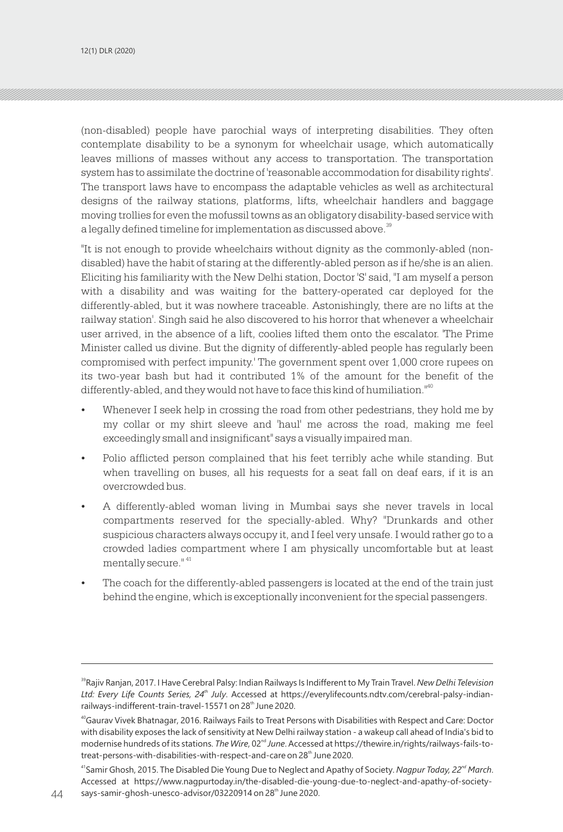(non-disabled) people have parochial ways of interpreting disabilities. They often contemplate disability to be a synonym for wheelchair usage, which automatically leaves millions of masses without any access to transportation. The transportation system has to assimilate the doctrine of 'reasonable accommodation for disability rights'. The transport laws have to encompass the adaptable vehicles as well as architectural designs of the railway stations, platforms, lifts, wheelchair handlers and baggage moving trollies for even the mofussil towns as an obligatory disability-based service with a legally defined timeline for implementation as discussed above.<sup>39</sup>

"It is not enough to provide wheelchairs without dignity as the commonly-abled (nondisabled) have the habit of staring at the differently-abled person as if he/she is an alien. Eliciting his familiarity with the New Delhi station, Doctor 'S' said, "I am myself a person with a disability and was waiting for the battery-operated car deployed for the differently-abled, but it was nowhere traceable. Astonishingly, there are no lifts at the railway station'. Singh said he also discovered to his horror that whenever a wheelchair user arrived, in the absence of a lift, coolies lifted them onto the escalator. 'The Prime Minister called us divine. But the dignity of differently-abled people has regularly been compromised with perfect impunity.' The government spent over 1,000 crore rupees on its two-year bash but had it contributed 1% of the amount for the benefit of the differently-abled, and they would not have to face this kind of humiliation.<sup>"40</sup>

- Whenever I seek help in crossing the road from other pedestrians, they hold me by my collar or my shirt sleeve and 'haul' me across the road, making me feel exceedingly small and insignificant" says a visually impaired man.
- Polio afflicted person complained that his feet terribly ache while standing. But when travelling on buses, all his requests for a seat fall on deaf ears, if it is an overcrowded bus.
- A differently-abled woman living in Mumbai says she never travels in local compartments reserved for the specially-abled. Why? "Drunkards and other suspicious characters always occupy it, and I feel very unsafe. I would rather go to a crowded ladies compartment where I am physically uncomfortable but at least mentally secure." 41
- The coach for the differently-abled passengers is located at the end of the train just behind the engine, which is exceptionally inconvenient for the special passengers.

<sup>39</sup>Rajiv Ranjan, 2017. I Have Cerebral Palsy: Indian Railways Is Indifferent to My Train Travel. *New Delhi Television th Ltd: Every Life Counts Series, 24 July*. Accessed at https://everylifecounts.ndtv.com/cerebral-palsy-indianrailways-indifferent-train-travel-15571 on 28<sup>th</sup> June 2020.

<sup>40</sup>Gaurav Vivek Bhatnagar, 2016. Railways Fails to Treat Persons with Disabilities with Respect and Care: Doctor with disability exposes the lack of sensitivity at New Delhi railway station - a wakeup call ahead of India's bid to modernise hundreds of its stations. *The Wire*, 02<sup>nd</sup> June. Accessed at https://thewire.in/rights/railways-fails-totreat-persons-with-disabilities-with-respect-and-care on 28<sup>th</sup> June 2020.

<sup>41</sup> *nd* Samir Ghosh, 2015. The Disabled Die Young Due to Neglect and Apathy of Society. *Nagpur Today, 22 March*. Accessed at https://www.nagpurtoday.in/the-disabled-die-young-due-to-neglect-and-apathy-of-society- $44$  says-samir-ghosh-unesco-advisor/03220914 on 28<sup>th</sup> June 2020.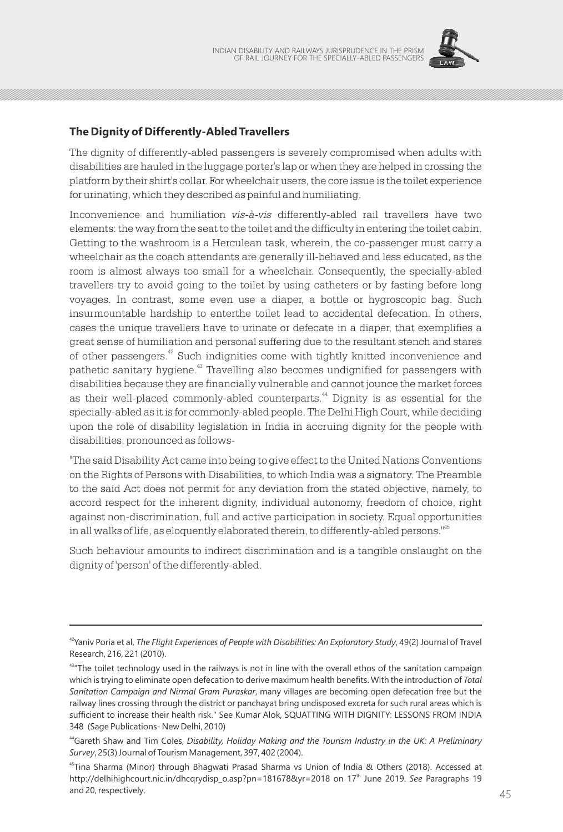

## **The Dignity of Differently-Abled Travellers**

The dignity of differently-abled passengers is severely compromised when adults with disabilities are hauled in the luggage porter's lap or when they are helped in crossing the platform by their shirt's collar. For wheelchair users, the core issue is the toilet experience for urinating, which they described as painful and humiliating.

Inconvenience and humiliation *vis-à-vis* differently-abled rail travellers have two elements: the way from the seat to the toilet and the difficulty in entering the toilet cabin. Getting to the washroom is a Herculean task, wherein, the co-passenger must carry a wheelchair as the coach attendants are generally ill-behaved and less educated, as the room is almost always too small for a wheelchair. Consequently, the specially-abled travellers try to avoid going to the toilet by using catheters or by fasting before long voyages. In contrast, some even use a diaper, a bottle or hygroscopic bag. Such insurmountable hardship to enterthe toilet lead to accidental defecation. In others, cases the unique travellers have to urinate or defecate in a diaper, that exemplifies a great sense of humiliation and personal suffering due to the resultant stench and stares of other passengers.<sup>42</sup> Such indignities come with tightly knitted inconvenience and pathetic sanitary hygiene.<sup>43</sup> Travelling also becomes undignified for passengers with disabilities because they are financially vulnerable and cannot jounce the market forces as their well-placed commonly-abled counterparts. $44$  Dignity is as essential for the specially-abled as it is for commonly-abled people. The Delhi High Court, while deciding upon the role of disability legislation in India in accruing dignity for the people with disabilities, pronounced as follows-

"The said Disability Act came into being to give effect to the United Nations Conventions on the Rights of Persons with Disabilities, to which India was a signatory. The Preamble to the said Act does not permit for any deviation from the stated objective, namely, to accord respect for the inherent dignity, individual autonomy, freedom of choice, right against non-discrimination, full and active participation in society. Equal opportunities in all walks of life, as eloquently elaborated therein, to differently-abled persons."<sup>45</sup>

Such behaviour amounts to indirect discrimination and is a tangible onslaught on the dignity of 'person' of the differently-abled.

<sup>42</sup>Yaniv Poria et al, *The Flight Experiences of People with Disabilities: An Exploratory Study*, 49(2) Journal of Travel Research, 216, 221 (2010).

<sup>&</sup>lt;sup>43</sup> The toilet technology used in the railways is not in line with the overall ethos of the sanitation campaign which is trying to eliminate open defecation to derive maximum health benefits. With the introduction of *Total Sanitation Campaign and Nirmal Gram Puraskar*, many villages are becoming open defecation free but the railway lines crossing through the district or panchayat bring undisposed excreta for such rural areas which is sufficient to increase their health risk." See Kumar Alok, SQUATTING WITH DIGNITY: LESSONS FROM INDIA 348 (Sage Publications- New Delhi, 2010)

<sup>44</sup>Gareth Shaw and Tim Coles, *Disability, Holiday Making and the Tourism Industry in the UK: A Preliminary Survey*, 25(3) Journal of Tourism Management, 397, 402 (2004).

<sup>45</sup>Tina Sharma (Minor) through Bhagwati Prasad Sharma vs Union of India & Others (2018). Accessed at http://delhihighcourt.nic.in/dhcqrydisp\_o.asp?pn=181678&yr=2018 on 17<sup>th</sup> June 2019. See Paragraphs 19 and 20, respectively.  $45$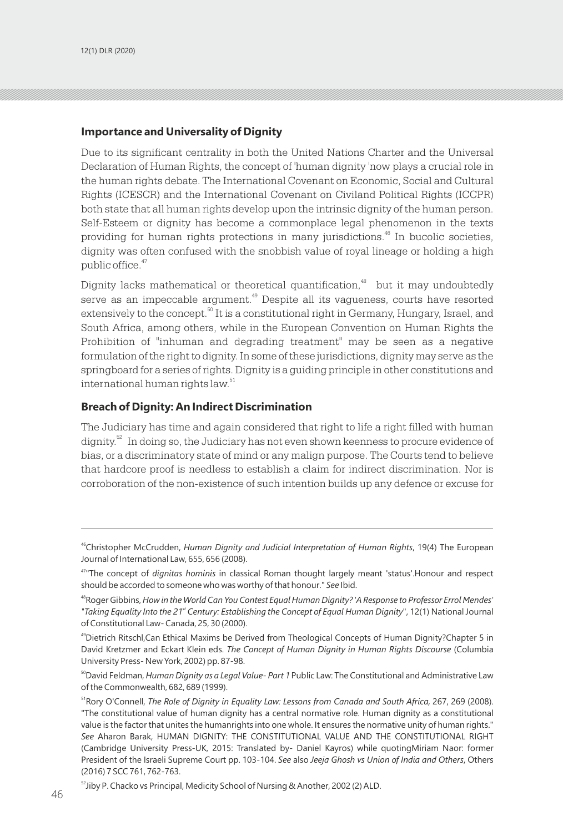#### **Importance and Universality of Dignity**

Due to its significant centrality in both the United Nations Charter and the Universal Declaration of Human Rights, the concept of 'human dignity 'now plays a crucial role in the human rights debate. The International Covenant on Economic, Social and Cultural Rights (ICESCR) and the International Covenant on Civiland Political Rights (ICCPR) both state that all human rights develop upon the intrinsic dignity of the human person. Self-Esteem or dignity has become a commonplace legal phenomenon in the texts providing for human rights protections in many jurisdictions.<sup>46</sup> In bucolic societies, dignity was often confused with the snobbish value of royal lineage or holding a high public office.<sup>47</sup>

Dignity lacks mathematical or theoretical quantification,<sup>48</sup> but it may undoubtedly serve as an impeccable argument.<sup>49</sup> Despite all its vagueness, courts have resorted extensively to the concept.<sup>50</sup> It is a constitutional right in Germany, Hungary, Israel, and South Africa, among others, while in the European Convention on Human Rights the Prohibition of "inhuman and degrading treatment" may be seen as a negative formulation of the right to dignity. In some of these jurisdictions, dignity may serve as the springboard for a series of rights. Dignity is a guiding principle in other constitutions and international human rights law.<sup>51</sup>

#### **Breach of Dignity: An Indirect Discrimination**

The Judiciary has time and again considered that right to life a right filled with human dignity.<sup>52</sup> In doing so, the Judiciary has not even shown keenness to procure evidence of bias, or a discriminatory state of mind or any malign purpose. The Courts tend to believe that hardcore proof is needless to establish a claim for indirect discrimination. Nor is corroboration of the non-existence of such intention builds up any defence or excuse for

<sup>46</sup>Christopher McCrudden, *Human Dignity and Judicial Interpretation of Human Rights*, 19(4) The European Journal of International Law, 655, 656 (2008).

<sup>47</sup>"The concept of *dignitas hominis* in classical Roman thought largely meant 'status'.Honour and respect should be accorded to someone who was worthy of that honour." *See* Ibid.

<sup>48</sup>Roger Gibbins, *How in the World Can You Contest Equal Human Dignity? 'A Response to Professor Errol Mendes' st "Taking Equality Into the 21 Century: Establishing the Concept of Equal Human Dignity*", 12(1) National Journal of Constitutional Law- Canada, 25, 30 (2000).

<sup>49</sup>Dietrich Ritschl,Can Ethical Maxims be Derived from Theological Concepts of Human Dignity?Chapter 5 in David Kretzmer and Eckart Klein eds. *The Concept of Human Dignity in Human Rights Discourse* (Columbia University Press- New York, 2002) pp. 87-98.

<sup>50</sup>David Feldman, *Human Dignity as a Legal Value- Part 1* Public Law: The Constitutional and Administrative Law of the Commonwealth, 682, 689 (1999).

<sup>&</sup>lt;sup>51</sup>Rory O'Connell, *The Role of Dignity in Equality Law: Lessons from Canada and South Africa, 267, 269 (2008).* "The constitutional value of human dignity has a central normative role. Human dignity as a constitutional value is the factor that unites the humanrights into one whole. It ensures the normative unity of human rights." *See* Aharon Barak, HUMAN DIGNITY: THE CONSTITUTIONAL VALUE AND THE CONSTITUTIONAL RIGHT (Cambridge University Press-UK, 2015: Translated by- Daniel Kayros) while quotingMiriam Naor: former President of the Israeli Supreme Court pp. 103-104. *See* also *Jeeja Ghosh vs Union of India and Others*, Others (2016) 7 SCC 761, 762-763.

<sup>&</sup>lt;sup>52</sup>Jiby P. Chacko vs Principal, Medicity School of Nursing & Another, 2002 (2) ALD.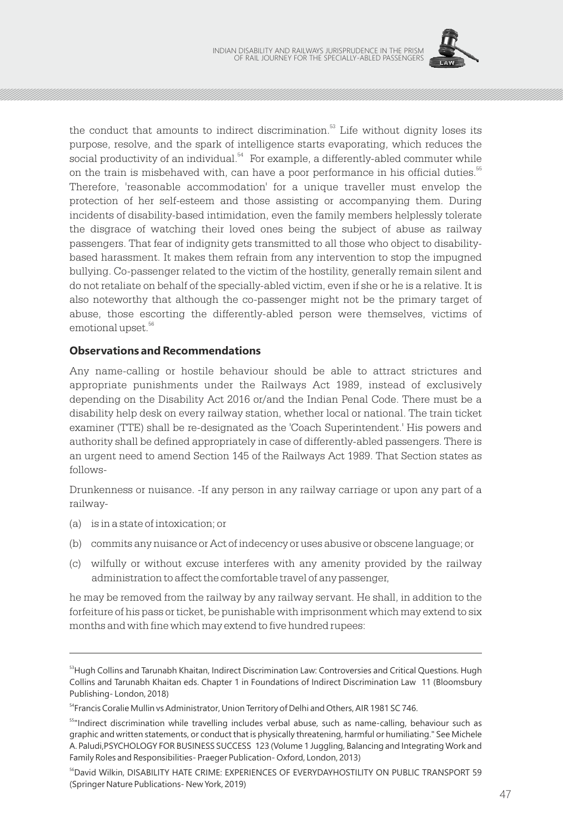

the conduct that amounts to indirect discrimination.<sup>53</sup> Life without dignity loses its purpose, resolve, and the spark of intelligence starts evaporating, which reduces the social productivity of an individual.<sup>54</sup> For example, a differently-abled commuter while on the train is misbehaved with, can have a poor performance in his official duties.<sup>55</sup> Therefore, 'reasonable accommodation' for a unique traveller must envelop the protection of her self-esteem and those assisting or accompanying them. During incidents of disability-based intimidation, even the family members helplessly tolerate the disgrace of watching their loved ones being the subject of abuse as railway passengers. That fear of indignity gets transmitted to all those who object to disabilitybased harassment. It makes them refrain from any intervention to stop the impugned bullying. Co-passenger related to the victim of the hostility, generally remain silent and do not retaliate on behalf of the specially-abled victim, even if she or he is a relative. It is also noteworthy that although the co-passenger might not be the primary target of abuse, those escorting the differently-abled person were themselves, victims of emotional upset.<sup>56</sup>

### **Observations and Recommendations**

Any name-calling or hostile behaviour should be able to attract strictures and appropriate punishments under the Railways Act 1989, instead of exclusively depending on the Disability Act 2016 or/and the Indian Penal Code. There must be a disability help desk on every railway station, whether local or national. The train ticket examiner (TTE) shall be re-designated as the 'Coach Superintendent.' His powers and authority shall be defined appropriately in case of differently-abled passengers. There is an urgent need to amend Section 145 of the Railways Act 1989. That Section states as follows-

Drunkenness or nuisance. -If any person in any railway carriage or upon any part of a railway-

- (a) is in a state of intoxication; or
- (b) commits any nuisance or Act of indecency or uses abusive or obscene language; or
- (c) wilfully or without excuse interferes with any amenity provided by the railway administration to affect the comfortable travel of any passenger,

he may be removed from the railway by any railway servant. He shall, in addition to the forfeiture of his pass or ticket, be punishable with imprisonment which may extend to six months and with fine which may extend to five hundred rupees:

<sup>&</sup>lt;sup>53</sup>Hugh Collins and Tarunabh Khaitan, Indirect Discrimination Law: Controversies and Critical Questions. Hugh Collins and Tarunabh Khaitan eds. Chapter 1 in Foundations of Indirect Discrimination Law 11 (Bloomsbury Publishing- London, 2018)

<sup>&</sup>lt;sup>54</sup>Francis Coralie Mullin vs Administrator, Union Territory of Delhi and Others, AIR 1981 SC 746.

<sup>&</sup>lt;sup>55</sup>"Indirect discrimination while travelling includes verbal abuse, such as name-calling, behaviour such as graphic and written statements, or conduct that is physically threatening, harmful or humiliating." See Michele A. Paludi,PSYCHOLOGY FOR BUSINESS SUCCESS 123 (Volume 1 Juggling, Balancing and Integrating Work and Family Roles and Responsibilities- Praeger Publication- Oxford, London, 2013)

<sup>56</sup>David Wilkin, DISABILITY HATE CRIME: EXPERIENCES OF EVERYDAYHOSTILITY ON PUBLIC TRANSPORT 59 (Springer Nature Publications- New York, 2019)